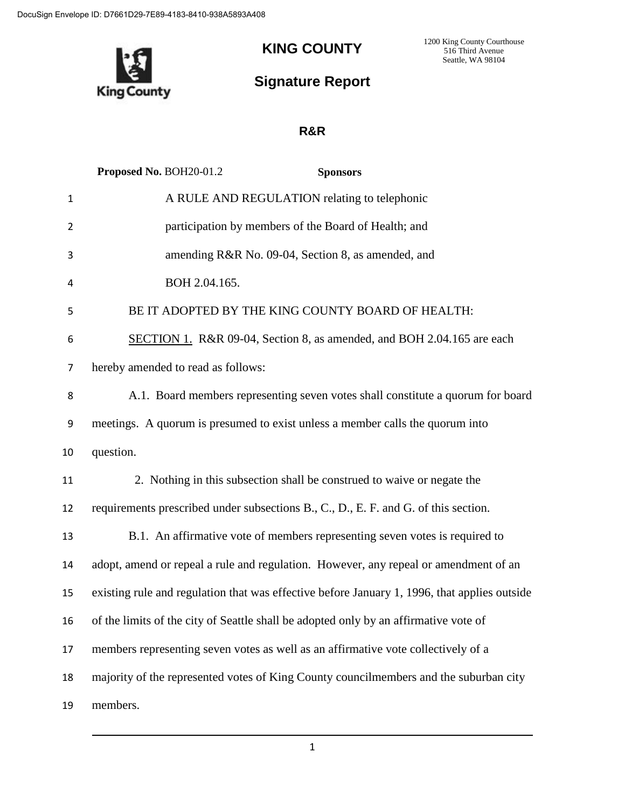**King County** 

## **KING COUNTY**

1200 King County Courthouse 516 Third Avenue Seattle, WA 98104

## **Signature Report**

## **R&R**

|                | Proposed No. BOH20-01.2<br><b>Sponsors</b>                                                   |
|----------------|----------------------------------------------------------------------------------------------|
| $\mathbf{1}$   | A RULE AND REGULATION relating to telephonic                                                 |
| $\overline{2}$ | participation by members of the Board of Health; and                                         |
| 3              | amending R&R No. 09-04, Section 8, as amended, and                                           |
| 4              | BOH 2.04.165.                                                                                |
| 5              | BE IT ADOPTED BY THE KING COUNTY BOARD OF HEALTH:                                            |
| 6              | SECTION 1. R&R 09-04, Section 8, as amended, and BOH 2.04.165 are each                       |
| $\overline{7}$ | hereby amended to read as follows:                                                           |
| 8              | A.1. Board members representing seven votes shall constitute a quorum for board              |
| 9              | meetings. A quorum is presumed to exist unless a member calls the quorum into                |
| 10             | question.                                                                                    |
| 11             | 2. Nothing in this subsection shall be construed to waive or negate the                      |
| 12             | requirements prescribed under subsections B., C., D., E. F. and G. of this section.          |
| 13             | B.1. An affirmative vote of members representing seven votes is required to                  |
| 14             | adopt, amend or repeal a rule and regulation. However, any repeal or amendment of an         |
| 15             | existing rule and regulation that was effective before January 1, 1996, that applies outside |
| 16             | of the limits of the city of Seattle shall be adopted only by an affirmative vote of         |
| 17             | members representing seven votes as well as an affirmative vote collectively of a            |
| 18             | majority of the represented votes of King County councilmembers and the suburban city        |
| 19             | members.                                                                                     |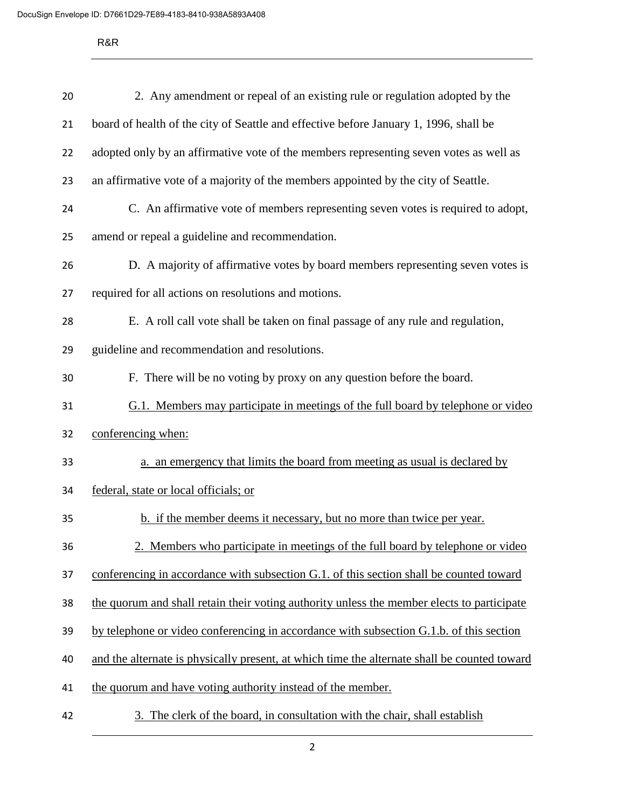R&R

| 20 | 2. Any amendment or repeal of an existing rule or regulation adopted by the                  |
|----|----------------------------------------------------------------------------------------------|
| 21 | board of health of the city of Seattle and effective before January 1, 1996, shall be        |
| 22 | adopted only by an affirmative vote of the members representing seven votes as well as       |
| 23 | an affirmative vote of a majority of the members appointed by the city of Seattle.           |
| 24 | C. An affirmative vote of members representing seven votes is required to adopt,             |
| 25 | amend or repeal a guideline and recommendation.                                              |
| 26 | D. A majority of affirmative votes by board members representing seven votes is              |
| 27 | required for all actions on resolutions and motions.                                         |
| 28 | E. A roll call vote shall be taken on final passage of any rule and regulation,              |
| 29 | guideline and recommendation and resolutions.                                                |
| 30 | F. There will be no voting by proxy on any question before the board.                        |
| 31 | G.1. Members may participate in meetings of the full board by telephone or video             |
| 32 | conferencing when:                                                                           |
| 33 | a. an emergency that limits the board from meeting as usual is declared by                   |
| 34 | federal, state or local officials; or                                                        |
| 35 | b. if the member deems it necessary, but no more than twice per year.                        |
| 36 | 2. Members who participate in meetings of the full board by telephone or video               |
| 37 | conferencing in accordance with subsection G.1. of this section shall be counted toward      |
| 38 | the quorum and shall retain their voting authority unless the member elects to participate   |
| 39 | by telephone or video conferencing in accordance with subsection G.1.b. of this section      |
| 40 | and the alternate is physically present, at which time the alternate shall be counted toward |
| 41 | the quorum and have voting authority instead of the member.                                  |
| 42 | The clerk of the board, in consultation with the chair, shall establish<br>3.                |

2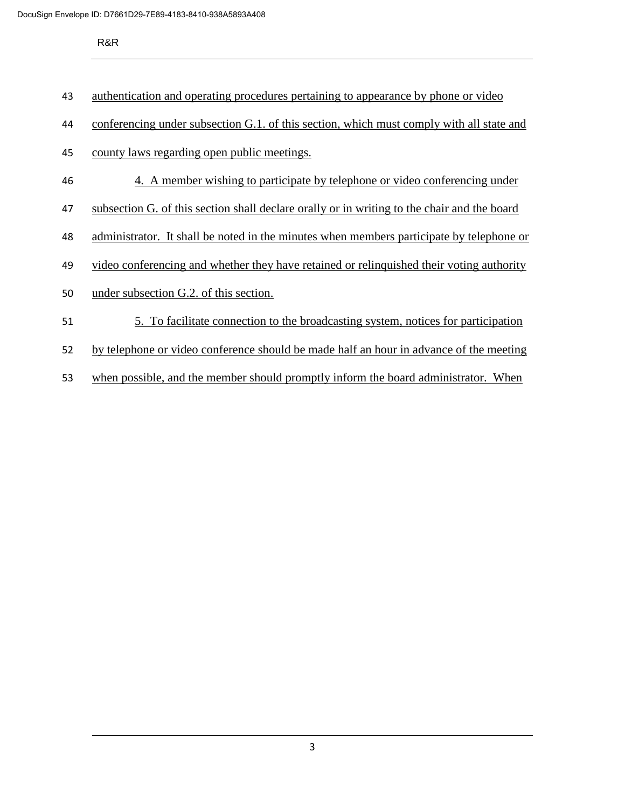R&R

authentication and operating procedures pertaining to appearance by phone or video

- conferencing under subsection G.1. of this section, which must comply with all state and
- county laws regarding open public meetings.
- 4. A member wishing to participate by telephone or video conferencing under
- subsection G. of this section shall declare orally or in writing to the chair and the board
- administrator. It shall be noted in the minutes when members participate by telephone or
- video conferencing and whether they have retained or relinquished their voting authority
- under subsection G.2. of this section.
- 5. To facilitate connection to the broadcasting system, notices for participation
- by telephone or video conference should be made half an hour in advance of the meeting
- when possible, and the member should promptly inform the board administrator. When